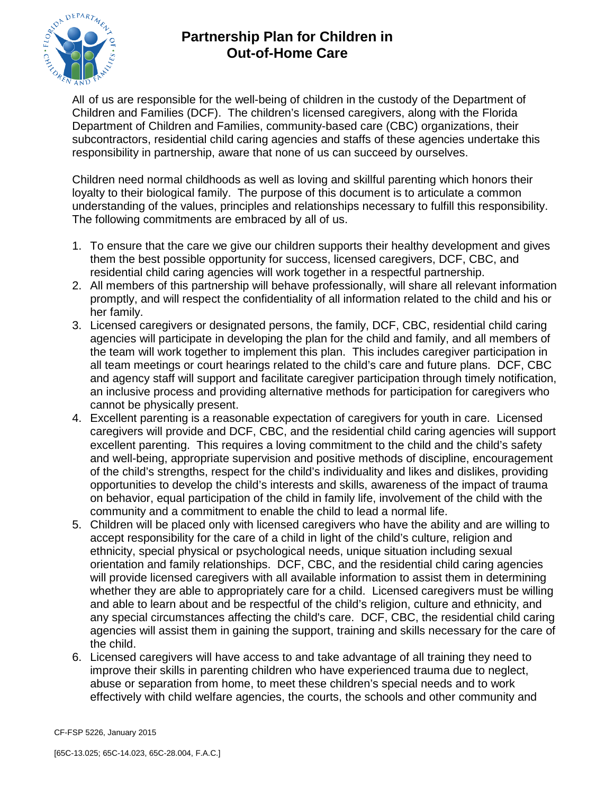

## **Partnership Plan for Children in Out-of-Home Care**

All of us are responsible for the well-being of children in the custody of the Department of Children and Families (DCF). The children's licensed caregivers, along with the Florida Department of Children and Families, community-based care (CBC) organizations, their subcontractors, residential child caring agencies and staffs of these agencies undertake this responsibility in partnership, aware that none of us can succeed by ourselves.

Children need normal childhoods as well as loving and skillful parenting which honors their loyalty to their biological family. The purpose of this document is to articulate a common understanding of the values, principles and relationships necessary to fulfill this responsibility. The following commitments are embraced by all of us.

- 1. To ensure that the care we give our children supports their healthy development and gives them the best possible opportunity for success, licensed caregivers, DCF, CBC, and residential child caring agencies will work together in a respectful partnership.
- 2. All members of this partnership will behave professionally, will share all relevant information promptly, and will respect the confidentiality of all information related to the child and his or her family.
- 3. Licensed caregivers or designated persons, the family, DCF, CBC, residential child caring agencies will participate in developing the plan for the child and family, and all members of the team will work together to implement this plan. This includes caregiver participation in all team meetings or court hearings related to the child's care and future plans. DCF, CBC and agency staff will support and facilitate caregiver participation through timely notification, an inclusive process and providing alternative methods for participation for caregivers who cannot be physically present.
- 4. Excellent parenting is a reasonable expectation of caregivers for youth in care. Licensed caregivers will provide and DCF, CBC, and the residential child caring agencies will support excellent parenting. This requires a loving commitment to the child and the child's safety and well-being, appropriate supervision and positive methods of discipline, encouragement of the child's strengths, respect for the child's individuality and likes and dislikes, providing opportunities to develop the child's interests and skills, awareness of the impact of trauma on behavior, equal participation of the child in family life, involvement of the child with the community and a commitment to enable the child to lead a normal life.
- 5. Children will be placed only with licensed caregivers who have the ability and are willing to accept responsibility for the care of a child in light of the child's culture, religion and ethnicity, special physical or psychological needs, unique situation including sexual orientation and family relationships. DCF, CBC, and the residential child caring agencies will provide licensed caregivers with all available information to assist them in determining whether they are able to appropriately care for a child. Licensed caregivers must be willing and able to learn about and be respectful of the child's religion, culture and ethnicity, and any special circumstances affecting the child's care. DCF, CBC, the residential child caring agencies will assist them in gaining the support, training and skills necessary for the care of the child.
- 6. Licensed caregivers will have access to and take advantage of all training they need to improve their skills in parenting children who have experienced trauma due to neglect, abuse or separation from home, to meet these children's special needs and to work effectively with child welfare agencies, the courts, the schools and other community and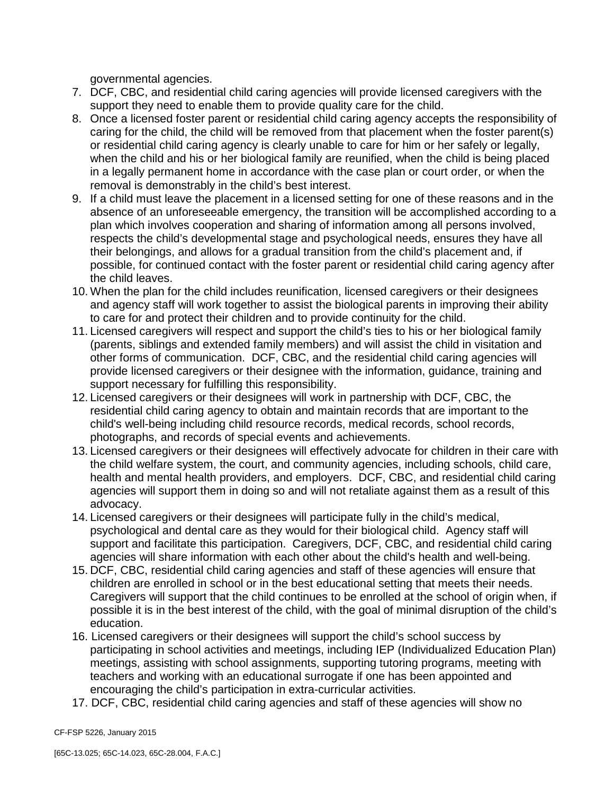governmental agencies.

- 7. DCF, CBC, and residential child caring agencies will provide licensed caregivers with the support they need to enable them to provide quality care for the child.
- 8. Once a licensed foster parent or residential child caring agency accepts the responsibility of caring for the child, the child will be removed from that placement when the foster parent(s) or residential child caring agency is clearly unable to care for him or her safely or legally, when the child and his or her biological family are reunified, when the child is being placed in a legally permanent home in accordance with the case plan or court order, or when the removal is demonstrably in the child's best interest.
- 9. If a child must leave the placement in a licensed setting for one of these reasons and in the absence of an unforeseeable emergency, the transition will be accomplished according to a plan which involves cooperation and sharing of information among all persons involved, respects the child's developmental stage and psychological needs, ensures they have all their belongings, and allows for a gradual transition from the child's placement and, if possible, for continued contact with the foster parent or residential child caring agency after the child leaves.
- 10. When the plan for the child includes reunification, licensed caregivers or their designees and agency staff will work together to assist the biological parents in improving their ability to care for and protect their children and to provide continuity for the child.
- 11. Licensed caregivers will respect and support the child's ties to his or her biological family (parents, siblings and extended family members) and will assist the child in visitation and other forms of communication. DCF, CBC, and the residential child caring agencies will provide licensed caregivers or their designee with the information, guidance, training and support necessary for fulfilling this responsibility.
- 12. Licensed caregivers or their designees will work in partnership with DCF, CBC, the residential child caring agency to obtain and maintain records that are important to the child's well-being including child resource records, medical records, school records, photographs, and records of special events and achievements.
- 13. Licensed caregivers or their designees will effectively advocate for children in their care with the child welfare system, the court, and community agencies, including schools, child care, health and mental health providers, and employers. DCF, CBC, and residential child caring agencies will support them in doing so and will not retaliate against them as a result of this advocacy.
- 14. Licensed caregivers or their designees will participate fully in the child's medical, psychological and dental care as they would for their biological child. Agency staff will support and facilitate this participation. Caregivers, DCF, CBC, and residential child caring agencies will share information with each other about the child's health and well-being.
- 15. DCF, CBC, residential child caring agencies and staff of these agencies will ensure that children are enrolled in school or in the best educational setting that meets their needs. Caregivers will support that the child continues to be enrolled at the school of origin when, if possible it is in the best interest of the child, with the goal of minimal disruption of the child's education.
- 16. Licensed caregivers or their designees will support the child's school success by participating in school activities and meetings, including IEP (Individualized Education Plan) meetings, assisting with school assignments, supporting tutoring programs, meeting with teachers and working with an educational surrogate if one has been appointed and encouraging the child's participation in extra-curricular activities.
- 17. DCF, CBC, residential child caring agencies and staff of these agencies will show no